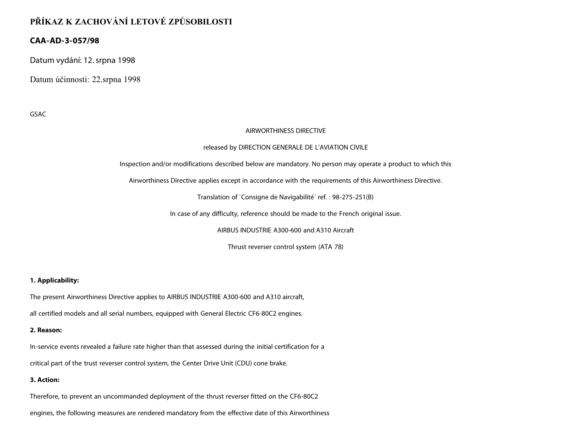# **PŘÍKAZ K ZACHOVÁNÍ LETOVÉ ZPŮSOBILOSTI**

# **CAA-AD-3-057/98**

Datum vydání: 12. srpna 1998

Datum účinnosti: 22.srpna 1998

GSAC

#### AIRWORTHINESS DIRECTIVE

#### released by DIRECTION GENERALE DE L'AVIATION CIVILE

Inspection and/or modifications described below are mandatory. No person may operate a product to which this

Airworthiness Directive applies except in accordance with the requirements of this Airworthiness Directive.

Translation of `Consigne de Navigabilité´ ref. : 98-275-251(B)

In case of any difficulty, reference should be made to the French original issue.

AIRBUS INDUSTRIE A300-600 and A310 Aircraft

Thrust reverser control system (ATA 78)

## **1. Applicability:**

The present Airworthiness Directive applies to AIRBUS INDUSTRIE A300-600 and A310 aircraft,

all certified models and all serial numbers, equipped with General Electric CF6-80C2 engines.

#### **2. Reason:**

In-service events revealed a failure rate higher than that assessed during the initial certification for a

critical part of the trust reverser control system, the Center Drive Unit (CDU) cone brake.

## **3. Action:**

Therefore, to prevent an uncommanded deployment of the thrust reverser fitted on the CF6-80C2

engines, the following measures are rendered mandatory from the effective date of this Airworthiness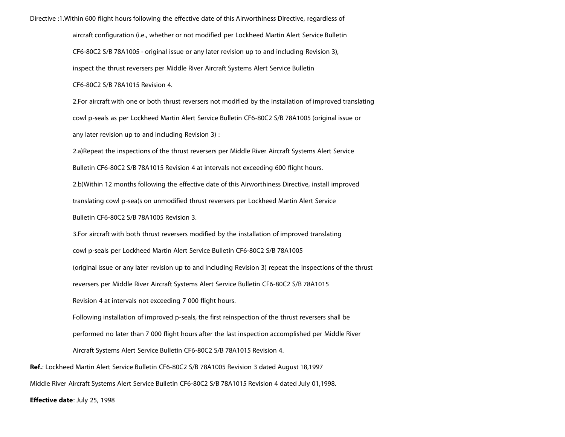Directive :1.Within 600 flight hours following the effective date of this Airworthiness Directive, regardless of

aircraft configuration (i.e., whether or not modified per Lockheed Martin Alert Service Bulletin CF6-80C2 S/B 78A1005 - original issue or any later revision up to and including Revision 3), inspect the thrust reversers per Middle River Aircraft Systems Alert Service Bulletin

CF6-80C2 S/B 78A1015 Revision 4.

2.For aircraft with one or both thrust reversers not modified by the installation of improved translating cowl p-seals as per Lockheed Martin Alert Service Bulletin CF6-80C2 S/B 78A1005 (original issue or any later revision up to and including Revision 3) :

2.a)Repeat the inspections of the thrust reversers per Middle River Aircraft Systems Alert Service Bulletin CF6-80C2 S/B 78A1015 Revision 4 at intervals not exceeding 600 flight hours.

2.b)Within 12 months following the effective date of this Airworthiness Directive, install improved translating cowl p-sea(s on unmodified thrust reversers per Lockheed Martin Alert Service

Bulletin CF6-80C2 S/B 78A1005 Revision 3.

3.For aircraft with both thrust reversers modified by the installation of improved translating cowl p-seals per Lockheed Martin Alert Service Bulletin CF6-80C2 S/B 78A1005 (original issue or any later revision up to and including Revision 3) repeat the inspections of the thrust reversers per Middle River Aircraft Systems Alert Service Bulletin CF6-80C2 S/B 78A1015 Revision 4 at intervals not exceeding 7 000 flight hours. Following installation of improved p-seals, the first reinspection of the thrust reversers shall be performed no later than 7 000 flight hours after the last inspection accomplished per Middle River Aircraft Systems Alert Service Bulletin CF6-80C2 S/B 78A1015 Revision 4. **Ref.**: Lockheed Martin Alert Service Bulletin CF6-80C2 S/B 78A1005 Revision 3 dated August 18,1997

Middle River Aircraft Systems Alert Service Bulletin CF6-80C2 S/B 78A1015 Revision 4 dated July 01,1998.

**Effective date**: July 25, 1998